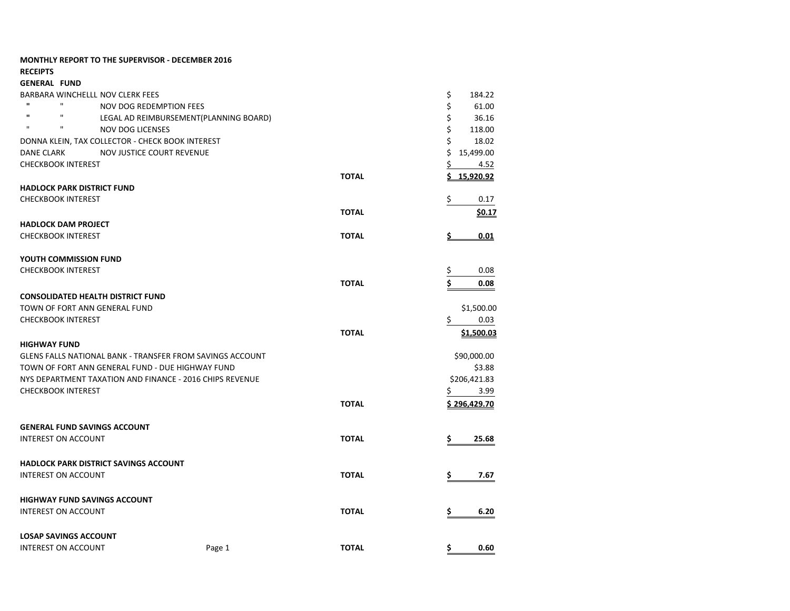|                                   | <b>MONTHLY REPORT TO THE SUPERVISOR - DECEMBER 2016</b>          |                                        |              |                   |
|-----------------------------------|------------------------------------------------------------------|----------------------------------------|--------------|-------------------|
| <b>RECEIPTS</b>                   |                                                                  |                                        |              |                   |
| <b>GENERAL FUND</b>               |                                                                  |                                        |              |                   |
|                                   | BARBARA WINCHELLL NOV CLERK FEES                                 |                                        |              | \$<br>184.22      |
| $\mathbf{u}$<br>$\mathbf{u}$      | NOV DOG REDEMPTION FEES                                          |                                        |              | \$<br>61.00       |
| $\mathbf{u}$<br>$\mathbf{u}$      |                                                                  | LEGAL AD REIMBURSEMENT(PLANNING BOARD) |              | \$<br>36.16       |
| $\mathbf{H}$<br>П                 | <b>NOV DOG LICENSES</b>                                          |                                        |              | \$<br>118.00      |
|                                   | DONNA KLEIN, TAX COLLECTOR - CHECK BOOK INTEREST                 |                                        |              | \$<br>18.02       |
| <b>DANE CLARK</b>                 | NOV JUSTICE COURT REVENUE                                        |                                        |              | Ś.<br>15,499.00   |
| <b>CHECKBOOK INTEREST</b>         |                                                                  |                                        |              | 4.52<br>S         |
|                                   |                                                                  |                                        | <b>TOTAL</b> | 15,920.92         |
| <b>HADLOCK PARK DISTRICT FUND</b> |                                                                  |                                        |              |                   |
| <b>CHECKBOOK INTEREST</b>         |                                                                  |                                        |              | \$<br>0.17        |
|                                   |                                                                  |                                        | <b>TOTAL</b> | <u>\$0.17</u>     |
| <b>HADLOCK DAM PROJECT</b>        |                                                                  |                                        |              |                   |
| <b>CHECKBOOK INTEREST</b>         |                                                                  |                                        | <b>TOTAL</b> | 0.01<br>s         |
| <b>YOUTH COMMISSION FUND</b>      |                                                                  |                                        |              |                   |
| <b>CHECKBOOK INTEREST</b>         |                                                                  |                                        |              | \$<br>0.08        |
|                                   |                                                                  |                                        | <b>TOTAL</b> | \$<br>0.08        |
|                                   | <b>CONSOLIDATED HEALTH DISTRICT FUND</b>                         |                                        |              |                   |
|                                   | TOWN OF FORT ANN GENERAL FUND                                    |                                        |              | \$1,500.00        |
| <b>CHECKBOOK INTEREST</b>         |                                                                  |                                        |              | \$.<br>0.03       |
|                                   |                                                                  |                                        | <b>TOTAL</b> | <u>\$1,500.03</u> |
| <b>HIGHWAY FUND</b>               |                                                                  |                                        |              |                   |
|                                   | <b>GLENS FALLS NATIONAL BANK - TRANSFER FROM SAVINGS ACCOUNT</b> |                                        |              | \$90,000.00       |
|                                   | TOWN OF FORT ANN GENERAL FUND - DUE HIGHWAY FUND                 |                                        |              | \$3.88            |
|                                   | NYS DEPARTMENT TAXATION AND FINANCE - 2016 CHIPS REVENUE         |                                        |              | \$206,421.83      |
| <b>CHECKBOOK INTEREST</b>         |                                                                  |                                        |              | \$<br>3.99        |
|                                   |                                                                  |                                        | <b>TOTAL</b> | \$296,429.70      |
|                                   | <b>GENERAL FUND SAVINGS ACCOUNT</b>                              |                                        |              |                   |
| <b>INTEREST ON ACCOUNT</b>        |                                                                  |                                        | <b>TOTAL</b> | \$<br>25.68       |
|                                   | <b>HADLOCK PARK DISTRICT SAVINGS ACCOUNT</b>                     |                                        |              |                   |
| <b>INTEREST ON ACCOUNT</b>        |                                                                  |                                        | <b>TOTAL</b> | \$<br>7.67        |
|                                   |                                                                  |                                        |              |                   |
|                                   | <b>HIGHWAY FUND SAVINGS ACCOUNT</b>                              |                                        |              |                   |
| <b>INTEREST ON ACCOUNT</b>        |                                                                  |                                        | <b>TOTAL</b> | \$<br>6.20        |
| <b>LOSAP SAVINGS ACCOUNT</b>      |                                                                  |                                        |              |                   |
| <b>INTEREST ON ACCOUNT</b>        |                                                                  | Page 1                                 | <b>TOTAL</b> | \$<br>0.60        |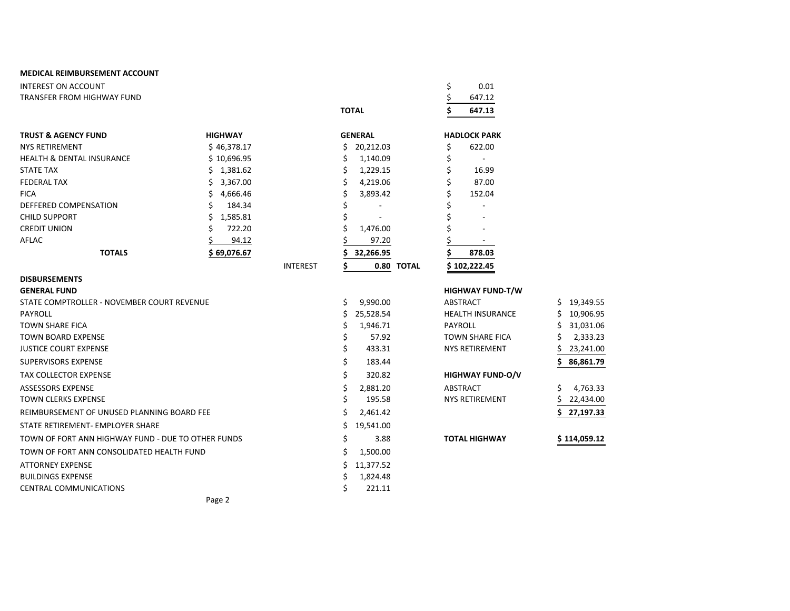| <b>MEDICAL REIMBURSEMENT ACCOUNT</b>               |                |                 |    |                |                         |                  |
|----------------------------------------------------|----------------|-----------------|----|----------------|-------------------------|------------------|
| <b>INTEREST ON ACCOUNT</b>                         |                |                 |    |                | \$<br>0.01              |                  |
| <b>TRANSFER FROM HIGHWAY FUND</b>                  |                |                 |    |                | \$<br>647.12            |                  |
|                                                    |                |                 |    | <b>TOTAL</b>   | Ś<br>647.13             |                  |
|                                                    |                |                 |    |                |                         |                  |
| <b>TRUST &amp; AGENCY FUND</b>                     | <b>HIGHWAY</b> |                 |    | <b>GENERAL</b> | <b>HADLOCK PARK</b>     |                  |
| <b>NYS RETIREMENT</b>                              | \$46,378.17    |                 | Ś. | 20,212.03      | \$<br>622.00            |                  |
| <b>HEALTH &amp; DENTAL INSURANCE</b>               | \$10,696.95    |                 | \$ | 1,140.09       | \$                      |                  |
| <b>STATE TAX</b>                                   | \$1,381.62     |                 | Ś  | 1,229.15       | Ś<br>16.99              |                  |
| <b>FEDERAL TAX</b>                                 | 3,367.00<br>\$ |                 | Ś  | 4,219.06       | 87.00<br>Ś              |                  |
| <b>FICA</b>                                        | Ś<br>4,666.46  |                 |    | 3,893.42       | Ś<br>152.04             |                  |
| DEFFERED COMPENSATION                              | Ś<br>184.34    |                 | Ś  |                | Ś                       |                  |
| <b>CHILD SUPPORT</b>                               | 1,585.81       |                 |    |                |                         |                  |
| <b>CREDIT UNION</b>                                | Ś<br>722.20    |                 | Ś  | 1,476.00       | Ś                       |                  |
| AFLAC                                              | 94.12          |                 |    | 97.20          | Ś                       |                  |
| <b>TOTALS</b>                                      | \$69,076.67    |                 |    | 32,266.95      | Ś<br>878.03             |                  |
|                                                    |                | <b>INTEREST</b> | Ś  | 0.80 TOTAL     | \$102,222.45            |                  |
| <b>DISBURSEMENTS</b>                               |                |                 |    |                |                         |                  |
| <b>GENERAL FUND</b>                                |                |                 |    |                | <b>HIGHWAY FUND-T/W</b> |                  |
| STATE COMPTROLLER - NOVEMBER COURT REVENUE         |                |                 | \$ | 9,990.00       | ABSTRACT                | 19,349.55<br>\$. |
| PAYROLL                                            |                |                 | Ś  | 25,528.54      | <b>HEALTH INSURANCE</b> | 10,906.95<br>Ś   |
| <b>TOWN SHARE FICA</b>                             |                |                 | \$ | 1,946.71       | PAYROLL                 | 31,031.06<br>Ś   |
| <b>TOWN BOARD EXPENSE</b>                          |                |                 | \$ | 57.92          | <b>TOWN SHARE FICA</b>  | 2,333.23         |
| <b>JUSTICE COURT EXPENSE</b>                       |                |                 | \$ | 433.31         | <b>NYS RETIREMENT</b>   | 23,241.00        |
| <b>SUPERVISORS EXPENSE</b>                         |                |                 | \$ | 183.44         |                         | 86,861.79        |
| <b>TAX COLLECTOR EXPENSE</b>                       |                |                 | Ś  | 320.82         | <b>HIGHWAY FUND-O/V</b> |                  |
| <b>ASSESSORS EXPENSE</b>                           |                |                 | \$ | 2,881.20       | ABSTRACT                | 4,763.33<br>\$   |
| <b>TOWN CLERKS EXPENSE</b>                         |                |                 | \$ | 195.58         | NYS RETIREMENT          | 22,434.00        |
| REIMBURSEMENT OF UNUSED PLANNING BOARD FEE         |                |                 | Ś  | 2,461.42       |                         | 27,197.33        |
| STATE RETIREMENT- EMPLOYER SHARE                   |                |                 | Ś  | 19,541.00      |                         |                  |
| TOWN OF FORT ANN HIGHWAY FUND - DUE TO OTHER FUNDS |                |                 | \$ | 3.88           | <b>TOTAL HIGHWAY</b>    | \$114,059.12     |
| TOWN OF FORT ANN CONSOLIDATED HEALTH FUND          |                |                 |    | 1,500.00       |                         |                  |
| <b>ATTORNEY EXPENSE</b>                            |                |                 |    | 11,377.52      |                         |                  |
| <b>BUILDINGS EXPENSE</b>                           |                |                 | S  | 1,824.48       |                         |                  |
|                                                    |                |                 |    |                |                         |                  |
| <b>CENTRAL COMMUNICATIONS</b>                      |                |                 | Ś  | 221.11         |                         |                  |

| ייטויטז ומשחטוו         |     |             |
|-------------------------|-----|-------------|
| <b>BSTRACT</b>          | Ś.  | 19,349.5    |
| <b>IEALTH INSURANCE</b> | Ś.  | 10,906.9    |
| <b>AYROLL</b>           | Ś.  | 31,031.0    |
| OWN SHARE FICA          | Ś   | 2,333.2     |
| IYS RETIREMENT          | \$  | 23,241.0    |
|                         | \$. | 86,861.7    |
| <b>IIGHWAY FUND-O/V</b> |     |             |
| <b>BSTRACT</b>          | \$  | 4,763.3     |
| <b>IYS RETIREMENT</b>   | \$. | 22,434.0    |
|                         |     | \$27,197.3  |
| OTAL HIGHWAY            |     | \$114.059.1 |
|                         |     |             |

Page 2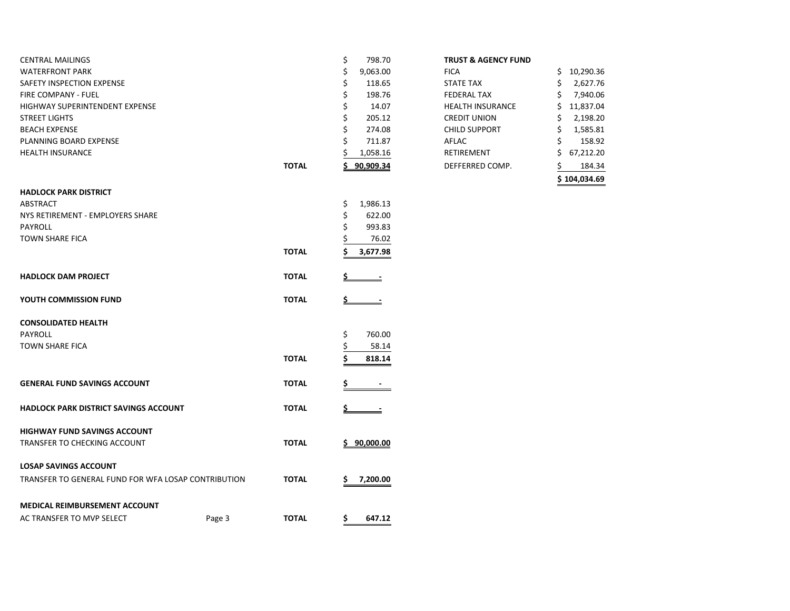| <b>CENTRAL MAILINGS</b>                             |        |              | \$<br>798.70    | <b>TRUST &amp; AGENCY FUND</b> |                 |
|-----------------------------------------------------|--------|--------------|-----------------|--------------------------------|-----------------|
| <b>WATERFRONT PARK</b>                              |        |              | \$<br>9,063.00  | <b>FICA</b>                    | \$10,290.36     |
| SAFETY INSPECTION EXPENSE                           |        |              | \$<br>118.65    | <b>STATE TAX</b>               | 2,627.76<br>\$  |
| FIRE COMPANY - FUEL                                 |        |              | \$<br>198.76    | <b>FEDERAL TAX</b>             | Ś.<br>7,940.06  |
| HIGHWAY SUPERINTENDENT EXPENSE                      |        |              | \$<br>14.07     | <b>HEALTH INSURANCE</b>        | 11,837.04<br>\$ |
| <b>STREET LIGHTS</b>                                |        |              | \$<br>205.12    | <b>CREDIT UNION</b>            | 2,198.20<br>Ş   |
| <b>BEACH EXPENSE</b>                                |        |              | Ś<br>274.08     | <b>CHILD SUPPORT</b>           | \$<br>1,585.81  |
| PLANNING BOARD EXPENSE                              |        |              | Ś<br>711.87     | AFLAC                          | 158.92<br>Ś.    |
| <b>HEALTH INSURANCE</b>                             |        |              | 1,058.16        | RETIREMENT                     | Ś<br>67,212.20  |
|                                                     |        | <b>TOTAL</b> | Ś.<br>90,909.34 | DEFFERRED COMP.                | 184.34<br>Ś     |
|                                                     |        |              |                 |                                | \$ 104,034.69   |
| <b>HADLOCK PARK DISTRICT</b><br>ABSTRACT            |        |              |                 |                                |                 |
|                                                     |        |              | \$<br>1,986.13  |                                |                 |
| NYS RETIREMENT - EMPLOYERS SHARE                    |        |              | \$<br>622.00    |                                |                 |
| PAYROLL                                             |        |              | Ś<br>993.83     |                                |                 |
| <b>TOWN SHARE FICA</b>                              |        |              | 76.02           |                                |                 |
|                                                     |        | <b>TOTAL</b> | 3,677.98        |                                |                 |
| <b>HADLOCK DAM PROJECT</b>                          |        | <b>TOTAL</b> |                 |                                |                 |
| <b>YOUTH COMMISSION FUND</b>                        |        | <b>TOTAL</b> | Ś               |                                |                 |
| <b>CONSOLIDATED HEALTH</b>                          |        |              |                 |                                |                 |
| PAYROLL                                             |        |              | \$<br>760.00    |                                |                 |
| <b>TOWN SHARE FICA</b>                              |        |              | 58.14           |                                |                 |
|                                                     |        | <b>TOTAL</b> | 818.14          |                                |                 |
| <b>GENERAL FUND SAVINGS ACCOUNT</b>                 |        | <b>TOTAL</b> | s               |                                |                 |
| <b>HADLOCK PARK DISTRICT SAVINGS ACCOUNT</b>        |        | <b>TOTAL</b> | \$              |                                |                 |
| <b>HIGHWAY FUND SAVINGS ACCOUNT</b>                 |        |              |                 |                                |                 |
| TRANSFER TO CHECKING ACCOUNT                        |        | <b>TOTAL</b> | 90.000.00       |                                |                 |
| <b>LOSAP SAVINGS ACCOUNT</b>                        |        |              |                 |                                |                 |
| TRANSFER TO GENERAL FUND FOR WFA LOSAP CONTRIBUTION |        | <b>TOTAL</b> | 7,200.00<br>S   |                                |                 |
| <b>MEDICAL REIMBURSEMENT ACCOUNT</b>                |        |              |                 |                                |                 |
| AC TRANSFER TO MVP SELECT                           | Page 3 | <b>TOTAL</b> | 647.12<br>S     |                                |                 |
|                                                     |        |              |                 |                                |                 |

| 798.70    | <b>TRUST &amp; AGENCY FUND</b> |                 |
|-----------|--------------------------------|-----------------|
| 9,063.00  | <b>FICA</b>                    | \$<br>10,290.36 |
| 118.65    | <b>STATE TAX</b>               | \$<br>2,627.76  |
| 198.76    | <b>FEDERAL TAX</b>             | \$<br>7,940.06  |
| 14.07     | <b>HEALTH INSURANCE</b>        | \$<br>11,837.04 |
| 205.12    | <b>CREDIT UNION</b>            | \$<br>2,198.20  |
| 274.08    | <b>CHILD SUPPORT</b>           | \$<br>1,585.81  |
| 711.87    | AFLAC                          | \$<br>158.92    |
| 1,058.16  | <b>RETIREMENT</b>              | \$<br>67,212.20 |
| 90,909.34 | DEFFERRED COMP.                | \$<br>184.34    |
|           |                                | \$104,034.69    |
| \$<br>\$  |                                |                 |